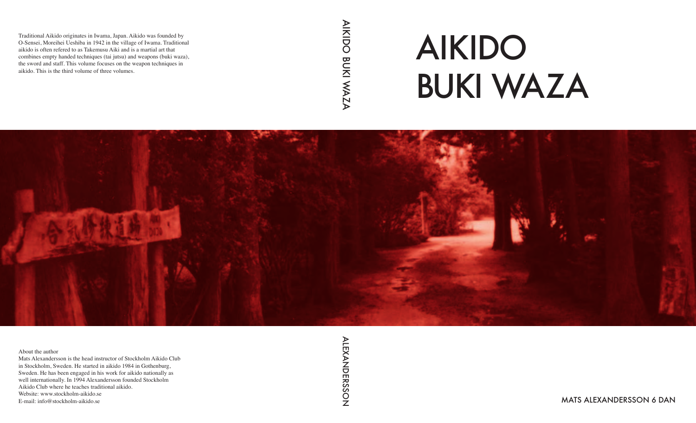# AIKIDO BUKI WAZA



MATS ALEXANDERSSON 6 DAN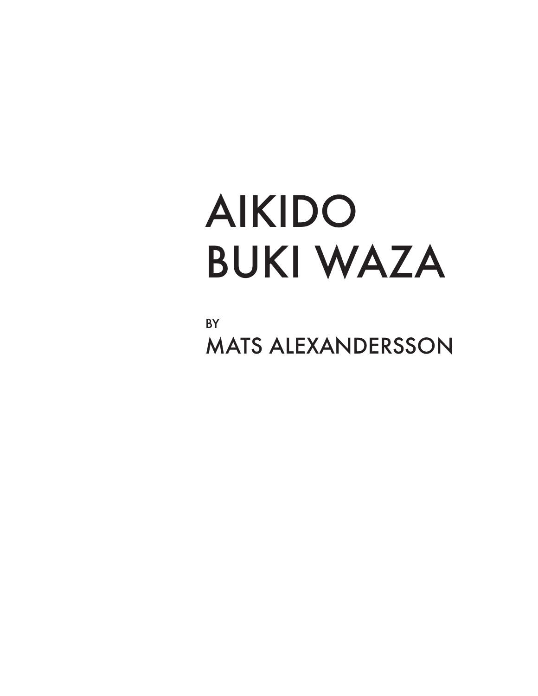## AIKIDO BUKI WAZA

**BY** MATS ALEXANDERSSON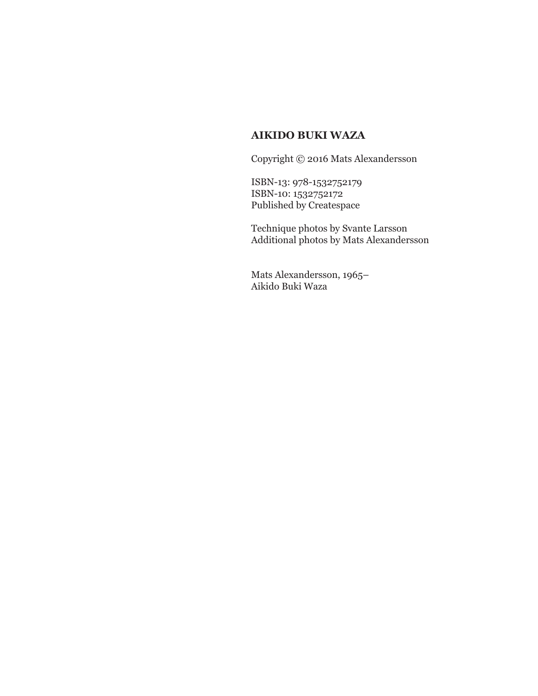#### **AIKIDO BUKI WAZA**

Copyright © 2016 Mats Alexandersson

ISBN-13: 978-1532752179 ISBN-10: 1532752172 Published by Createspace

Technique photos by Svante Larsson Additional photos by Mats Alexandersson

Mats Alexandersson, 1965– Aikido Buki Waza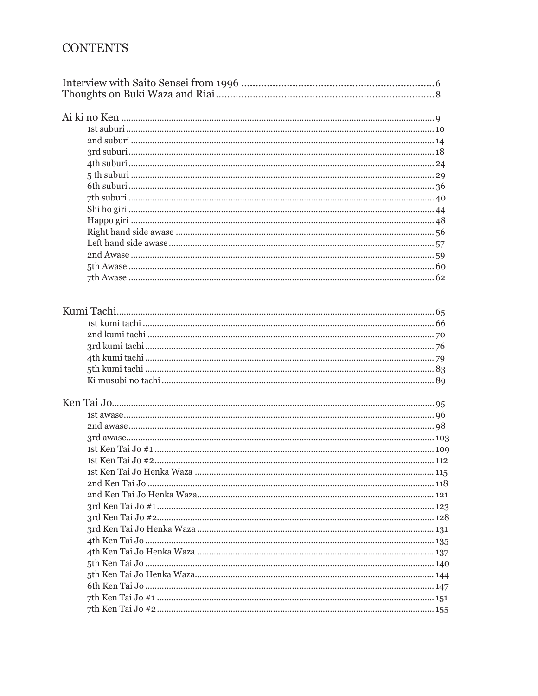#### **CONTENTS**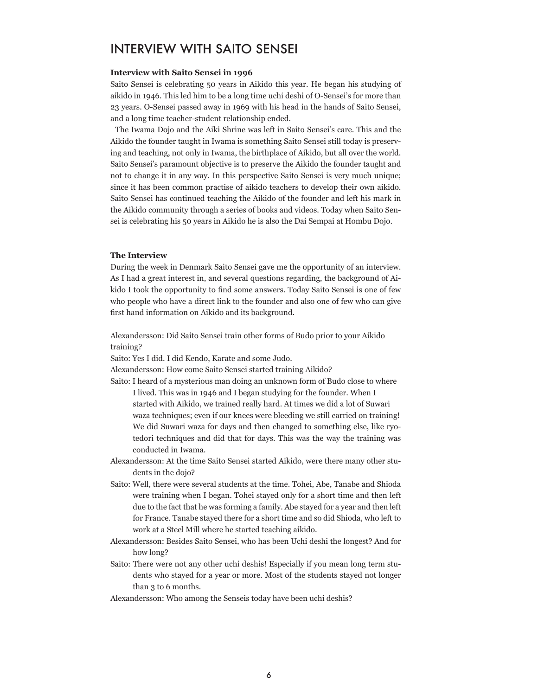#### INTERVIEW WITH SAITO SENSEI

#### **Interview with Saito Sensei in 1996**

Saito Sensei is celebrating 50 years in Aikido this year. He began his studying of aikido in 1946. This led him to be a long time uchi deshi of O-Sensei's for more than 23 years. O-Sensei passed away in 1969 with his head in the hands of Saito Sensei, and a long time teacher-student relationship ended.

 The Iwama Dojo and the Aiki Shrine was left in Saito Sensei's care. This and the Aikido the founder taught in Iwama is something Saito Sensei still today is preserving and teaching, not only in Iwama, the birthplace of Aikido, but all over the world. Saito Sensei's paramount objective is to preserve the Aikido the founder taught and not to change it in any way. In this perspective Saito Sensei is very much unique; since it has been common practise of aikido teachers to develop their own aikido. Saito Sensei has continued teaching the Aikido of the founder and left his mark in the Aikido community through a series of books and videos. Today when Saito Sensei is celebrating his 50 years in Aikido he is also the Dai Sempai at Hombu Dojo.

#### **The Interview**

During the week in Denmark Saito Sensei gave me the opportunity of an interview. As I had a great interest in, and several questions regarding, the background of Aikido I took the opportunity to find some answers. Today Saito Sensei is one of few who people who have a direct link to the founder and also one of few who can give first hand information on Aikido and its background.

Alexandersson: Did Saito Sensei train other forms of Budo prior to your Aikido training?

Saito: Yes I did. I did Kendo, Karate and some Judo.

Alexandersson: How come Saito Sensei started training Aikido?

Saito: I heard of a mysterious man doing an unknown form of Budo close to where I lived. This was in 1946 and I began studying for the founder. When I started with Aikido, we trained really hard. At times we did a lot of Suwari waza techniques; even if our knees were bleeding we still carried on training!

We did Suwari waza for days and then changed to something else, like ryotedori techniques and did that for days. This was the way the training was conducted in Iwama.

- Alexandersson: At the time Saito Sensei started Aikido, were there many other students in the dojo?
- Saito: Well, there were several students at the time. Tohei, Abe, Tanabe and Shioda were training when I began. Tohei stayed only for a short time and then left due to the fact that he was forming a family. Abe stayed for a year and then left for France. Tanabe stayed there for a short time and so did Shioda, who left to work at a Steel Mill where he started teaching aikido.
- Alexandersson: Besides Saito Sensei, who has been Uchi deshi the longest? And for how long?
- Saito: There were not any other uchi deshis! Especially if you mean long term students who stayed for a year or more. Most of the students stayed not longer than 3 to 6 months.
- Alexandersson: Who among the Senseis today have been uchi deshis?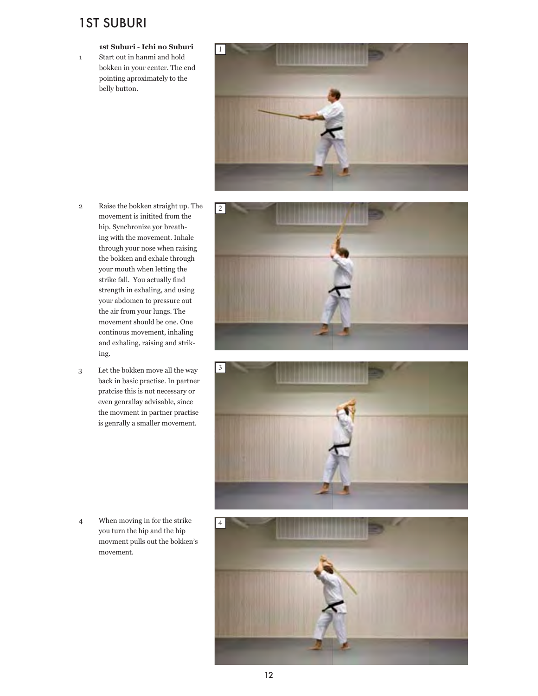#### 1ST SUBURI

#### **1st Suburi - Ichi no Suburi**

1 Start out in hanmi and hold bokken in your center. The end pointing aproximately to the belly button.



- 2 Raise the bokken straight up. The movement is initited from the hip. Synchronize yor breathing with the movement. Inhale through your nose when raising the bokken and exhale through your mouth when letting the strike fall. You actually find strength in exhaling, and using your abdomen to pressure out the air from your lungs. The movement should be one. One continous movement, inhaling and exhaling, raising and striking.
- 3 Let the bokken move all the way back in basic practise. In partner pratcise this is not necessary or even genrallay advisable, since the movment in partner practise is genrally a smaller movement.





4 When moving in for the strike you turn the hip and the hip movment pulls out the bokken's movement.

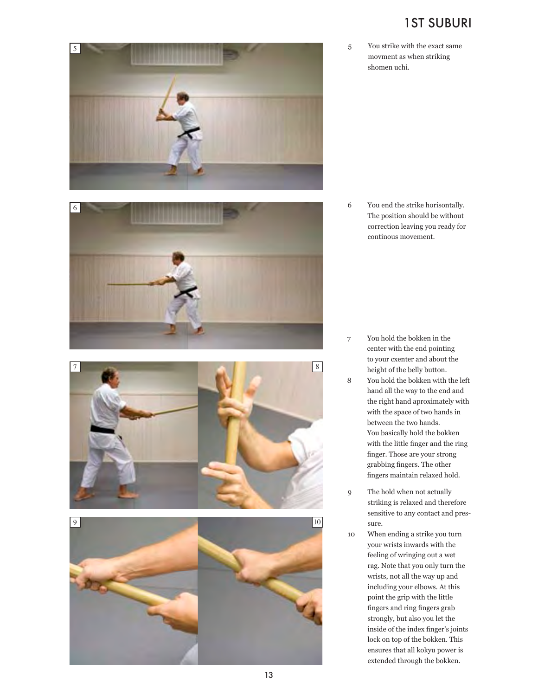#### 1ST SUBURI

5 You strike with the exact same movment as when striking shomen uchi.

6 You end the strike horisontally. The position should be without correction leaving you ready for continous movement.

- 7 You hold the bokken in the center with the end pointing to your cxenter and about the height of the belly button.
- 8 You hold the bokken with the left hand all the way to the end and the right hand aproximately with with the space of two hands in between the two hands. You basically hold the bokken with the little finger and the ring finger. Those are your strong grabbing fingers. The other fingers maintain relaxed hold.
- 9 The hold when not actually striking is relaxed and therefore sensitive to any contact and pres sure.
- 10 When ending a strike you turn your wrists inwards with the feeling of wringing out a wet rag. Note that you only turn the wrists, not all the way up and including your elbows. At this point the grip with the little fingers and ring fingers grab strongly, but also you let the inside of the index finger's joints lock on top of the bokken. This ensures that all kokyu power is extended through the bokken.





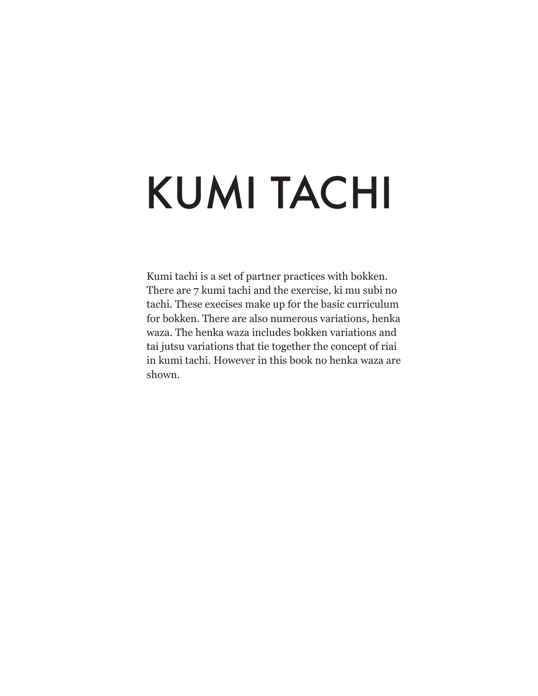## KUMI TACHI

Kumi tachi is a set of partner practices with bokken. There are 7 kumi tachi and the exercise, ki mu subi no tachi. These execises make up for the basic curriculum for bokken. There are also numerous variations, henka waza. The henka waza includes bokken variations and tai jutsu variations that tie together the concept of riai in kumi tachi. However in this book no henka waza are shown.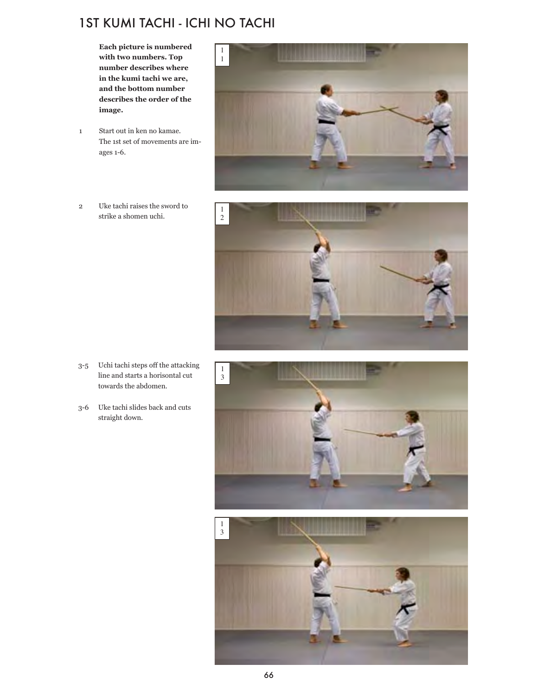### 1ST KUMI TACHI - ICHI NO TACHI

**Each picture is numbered with two numbers. Top number describes where in the kumi tachi we are, and the bottom number describes the order of the image.**

- 1 Start out in ken no kamae. The 1st set of movements are images 1-6.
- 2 Uke tachi raises the sword to strike a shomen uchi.





- 3-5 Uchi tachi steps off the attacking line and starts a horisontal cut towards the abdomen.
- 3-6 Uke tachi slides back and cuts straight down.



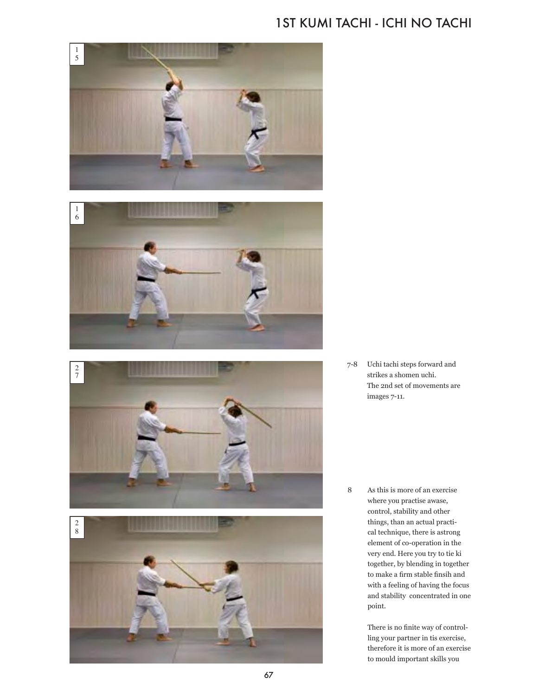#### 1ST KUMI TACHI - ICHI NO TACHI



7-8 Uchi tachi steps forward and strikes a shomen uchi. The 2nd set of movements are images 7-11.

8 As this is more of an exercise where you practise awase, control, stability and other things, than an actual practical technique, there is astrong element of co-operation in the very end. Here you try to tie ki together, by blending in together to make a firm stable finsih and with a feeling of having the focus and stability concentrated in one point.

> There is no finite way of controlling your partner in tis exercise, therefore it is more of an exercise to mould important skills you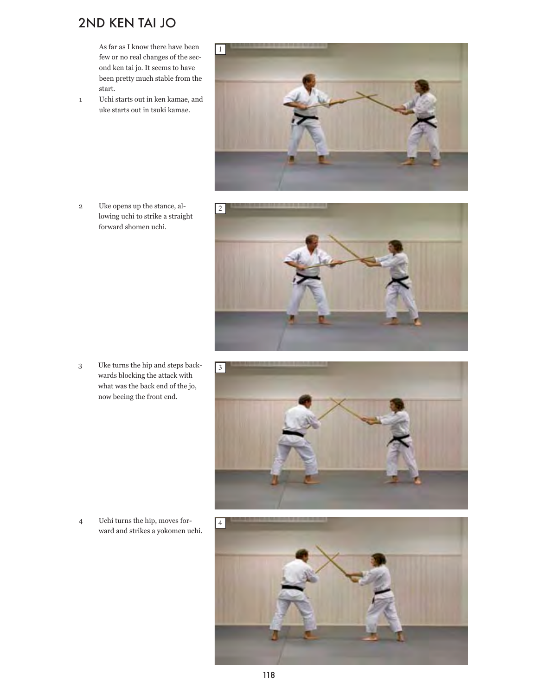### 2ND KEN TAI JO

As far as I know there have been few or no real changes of the second ken tai jo. It seems to have been pretty much stable from the start.

1 Uchi starts out in ken kamae, and uke starts out in tsuki kamae.

2 Uke opens up the stance, allowing uchi to strike a straight forward shomen uchi.







4 Uchi turns the hip, moves forward and strikes a yokomen uchi.

3 Uke turns the hip and steps backwards blocking the attack with what was the back end of the jo, now beeing the front end.

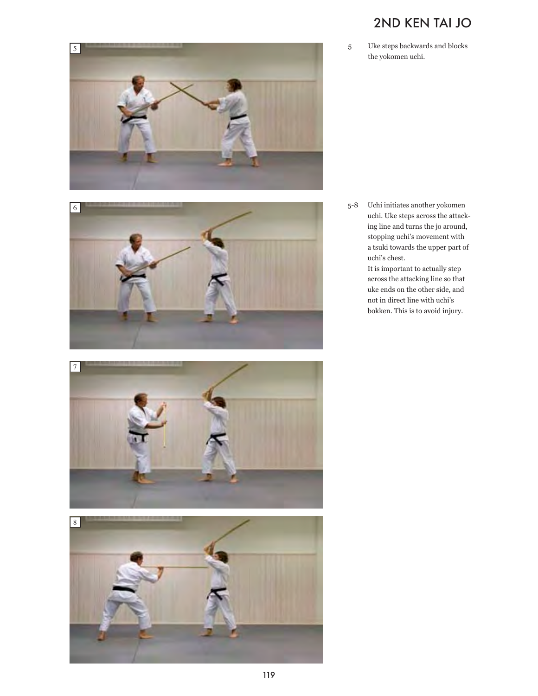

5

## 2ND KEN TAI JO

5 Uke steps backwards and blocks the yokomen uchi.

5-8 Uchi initiates another yokomen uchi. Uke steps across the attacking line and turns the jo around, stopping uchi's movement with a tsuki towards the upper part of uchi's chest.

> It is important to actually step across the attacking line so that uke ends on the other side, and not in direct line with uchi's bokken. This is to avoid injury.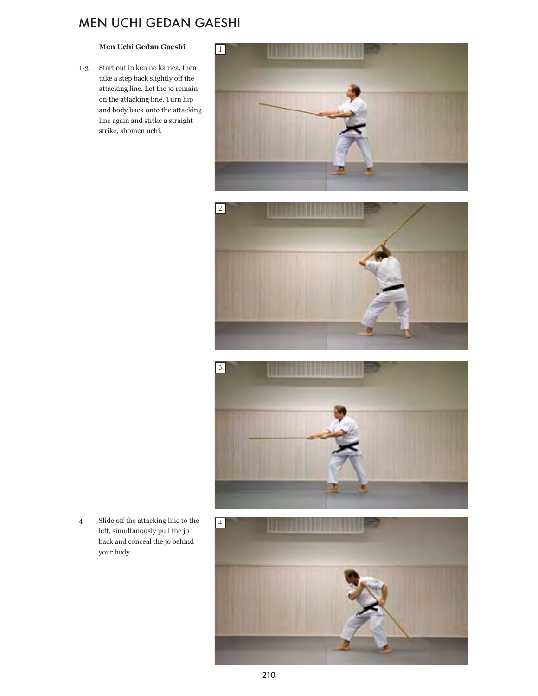#### MEN UCHI GEDAN GAESHI

#### **Men Uchi Gedan Gaeshi**

1-3 Start out in ken no kamea, then take a step back slightly off the attacking line. Let the jo remain on the attacking line. Turn hip and body back onto the attacking line again and strike a straight strike, shomen uchi.







4 Slide off the attacking line to the left, simultanously pull the jo back and conceal the jo behind your body.

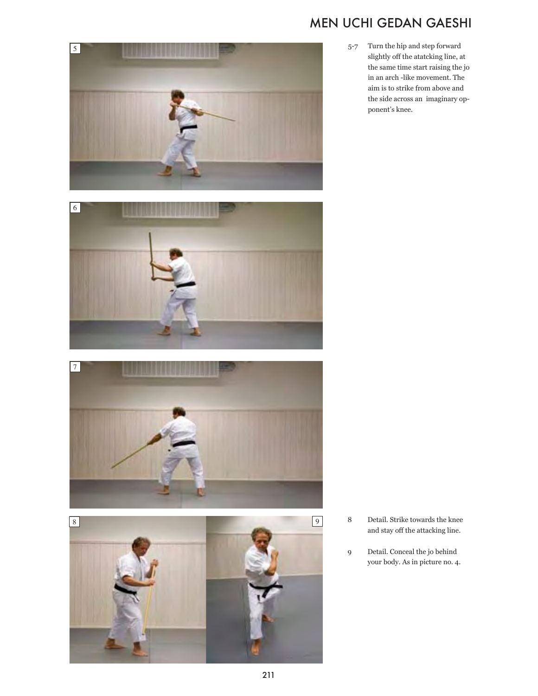### MEN UCHI GEDAN GAESHI

5 6



5-7 Turn the hip and step forward slightly off the atatcking line, at the same time start raising the jo in an arch -like movement. The aim is to strike from above and the side across an imaginary opponent's knee.

- 8 Detail. Strike towards the knee and stay off the attacking line.
- 9 Detail. Conceal the jo behind your body. As in picture no. 4.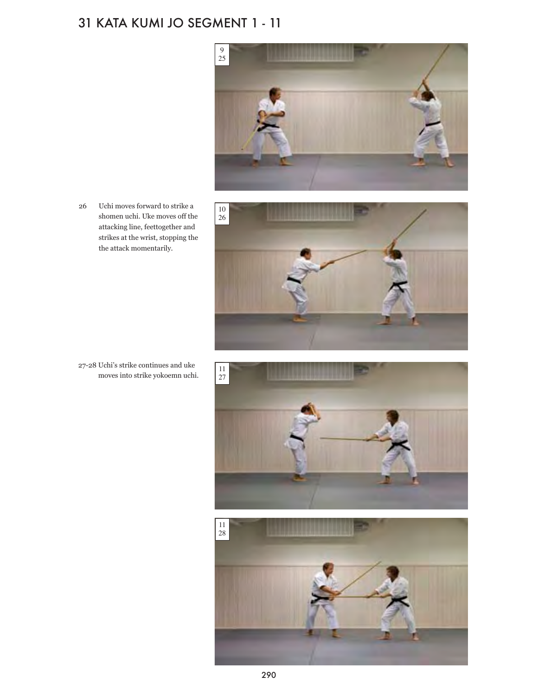## 31 KATA KUMI JO SEGMENT 1 - 11



26 Uchi moves forward to strike a shomen uchi. Uke moves off the attacking line, feettogether and strikes at the wrist, stopping the the attack momentarily.







27-28 Uchi's strike continues and uke moves into strike yokoemn uchi.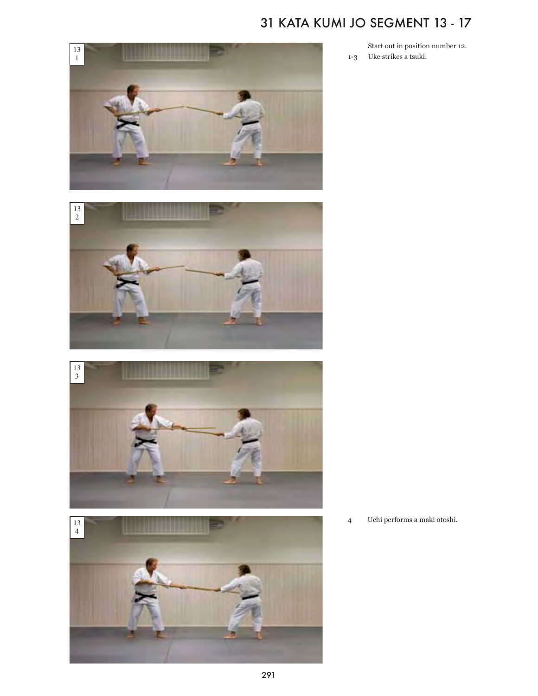## 31 KATA KUMI JO SEGMENT 13 - 17



Start out in position number 12. 1-3 Uke strikes a tsuki.

Uchi performs a maki otoshi.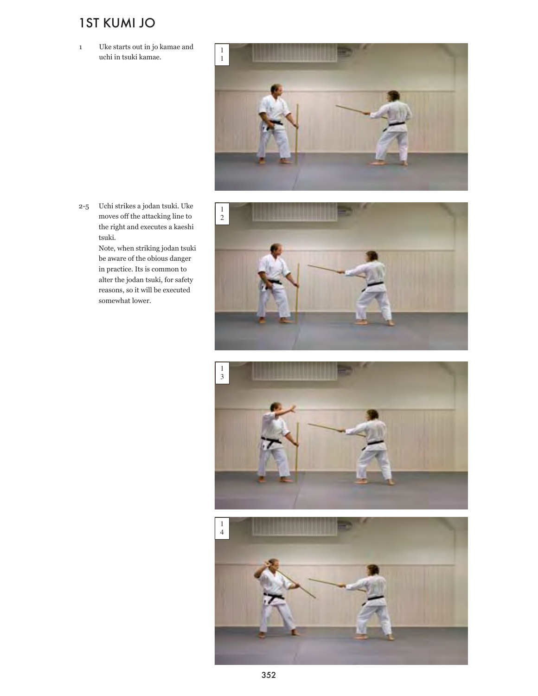### 1ST KUMI JO

1 Uke starts out in jo kamae and uchi in tsuki kamae.



2-5 Uchi strikes a jodan tsuki. Uke moves off the attacking line to the right and executes a kaeshi tsuki.

> Note, when striking jodan tsuki be aware of the obious danger in practice. Its is common to alter the jodan tsuki, for safety reasons, so it will be executed somewhat lower.





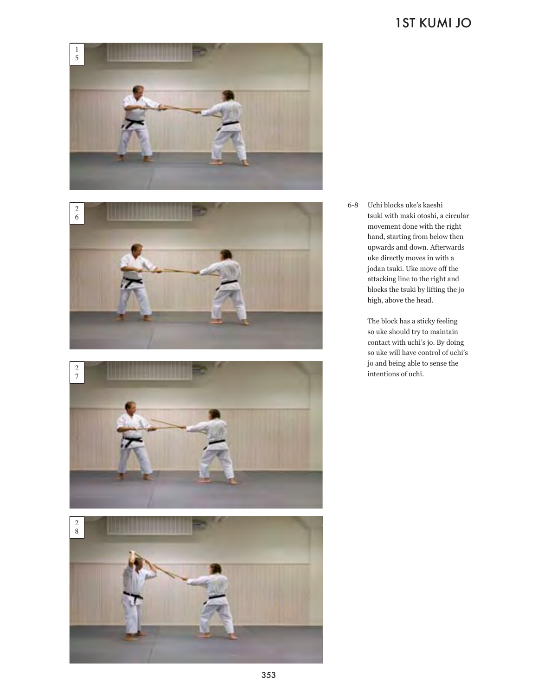### 1ST KUMI JO









6-8 Uchi blocks uke's kaeshi tsuki with maki otoshi, a circular movement done with the right hand, starting from below then upwards and down. Afterwards uke directly moves in with a jodan tsuki. Uke move off the attacking line to the right and blocks the tsuki by lifting the jo high, above the head.

> The block has a sticky feeling so uke should try to maintain contact with uchi's jo. By doing so uke will have control of uchi's jo and being able to sense the intentions of uchi.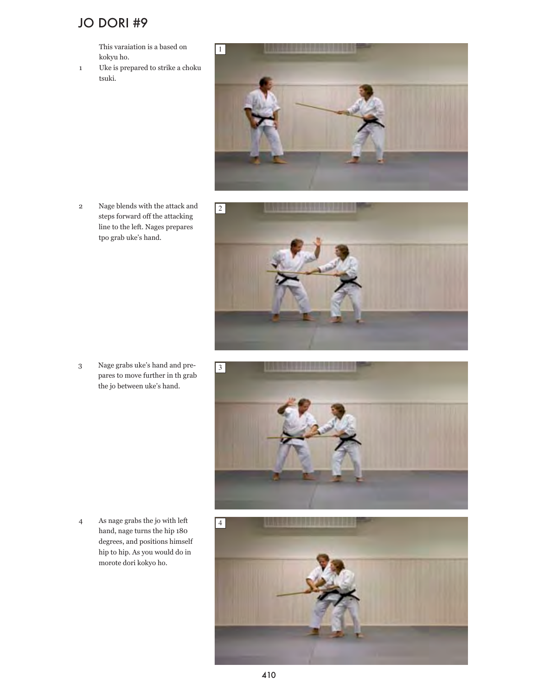#### JO DORI #9

This varaiation is a based on kokyu ho.

1 Uke is prepared to strike a choku tsuki.



2 Nage blends with the attack and steps forward off the attacking line to the left. Nages prepares tpo grab uke's hand.







4 As nage grabs the jo with left hand, nage turns the hip 180 degrees, and positions himself hip to hip. As you would do in morote dori kokyo ho.